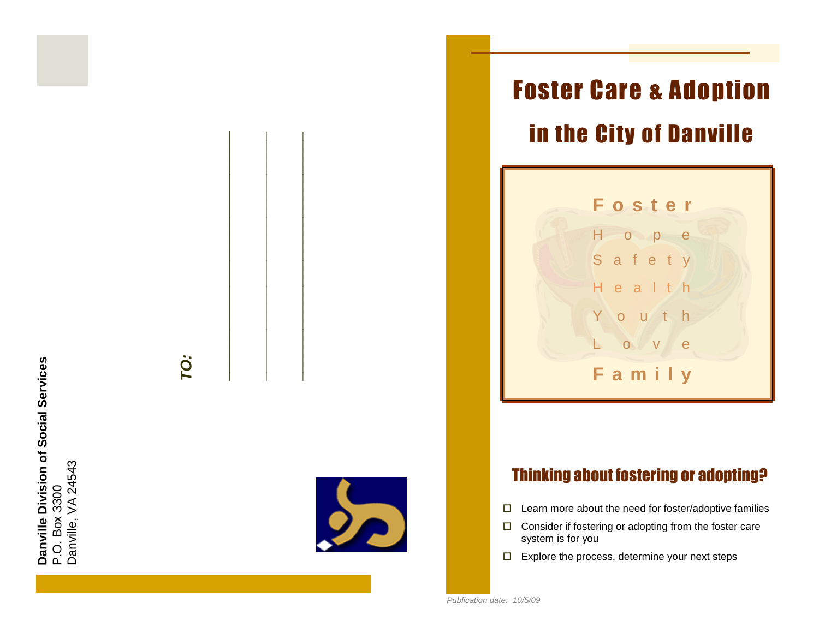**Danville Division of Social Services**<br>P.O. Box 3300<br>Danville, VA 24543<br>Danville, VA 24543



# Foster Care & Adoption in the City of Danville



## Thinking about fostering or adopting?

- $\Box$  Learn more about the need for foster/adoptive families
- $\Box$  Consider if fostering or adopting from the foster care system is for you
- $\Box$  Explore the process, determine your next steps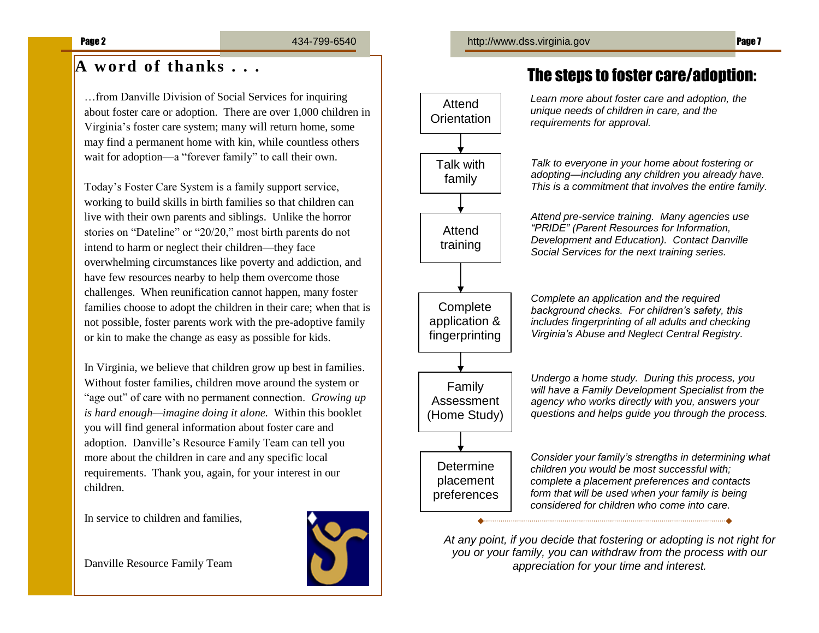## **A word of thanks . . .**

…from Danville Division of Social Services for inquiring about foster care or adoption. There are over 1,000 children in Virginia's foster care system; many will return home, some may find a permanent home with kin, while countless others wait for adoption—a "forever family" to call their own.

Today's Foster Care System is a family support service, working to build skills in birth families so that children can live with their own parents and siblings. Unlike the horror stories on "Dateline" or "20/20," most birth parents do not intend to harm or neglect their children—they face overwhelming circumstances like poverty and addiction, and have few resources nearby to help them overcome those challenges. When reunification cannot happen, many foster families choose to adopt the children in their care; when that is not possible, foster parents work with the pre-adoptive family or kin to make the change as easy as possible for kids.

In Virginia, we believe that children grow up best in families. Without foster families, children move around the system or "age out" of care with no permanent connection. *Growing up is hard enough—imagine doing it alone.* Within this booklet you will find general information about foster care and adoption. Danville's Resource Family Team can tell you more about the children in care and any specific local requirements. Thank you, again, for your interest in our children.

In service to children and families,

Danville Resource Family Team



## The steps to foster care/adoption:

*Learn more about foster care and adoption, the unique needs of children in care, and the requirements for approval.*

*Talk to everyone in your home about fostering or adopting—including any children you already have. This is a commitment that involves the entire family.*

*Attend pre-service training. Many agencies use "PRIDE" (Parent Resources for Information, Development and Education). Contact Danville Social Services for the next training series.*

*Complete an application and the required background checks. For children's safety, this includes fingerprinting of all adults and checking Virginia's Abuse and Neglect Central Registry.*

Family Assessment (Home Study) **Determine** placement

Attend **Orientation** 

> Talk with family

Attend training

**Complete** application & fingerprinting

> *Undergo a home study. During this process, you will have a Family Development Specialist from the agency who works directly with you, answers your questions and helps guide you through the process.*

preferences

*Consider your family's strengths in determining what children you would be most successful with; complete a placement preferences and contacts form that will be used when your family is being considered for children who come into care.*

*At any point, if you decide that fostering or adopting is not right for you or your family, you can withdraw from the process with our appreciation for your time and interest.*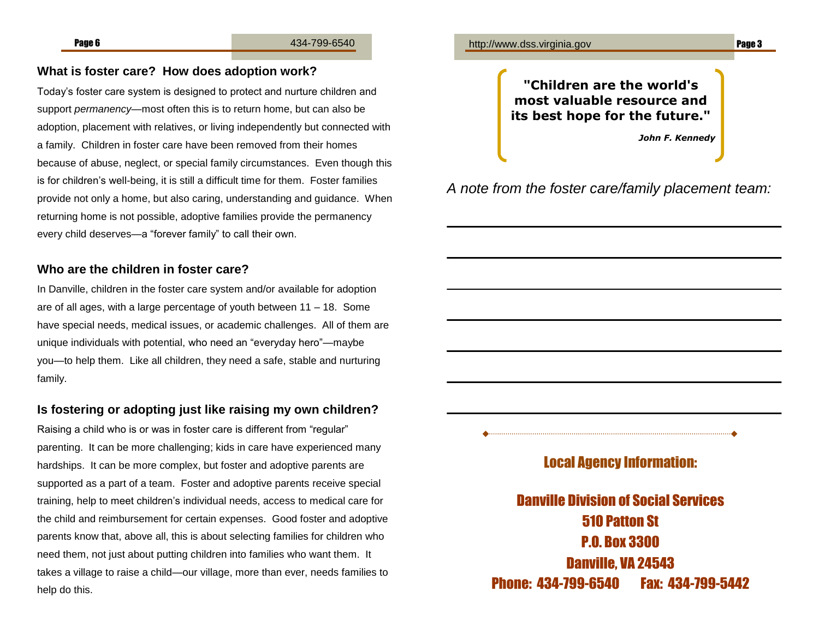#### **What is foster care? How does adoption work?**

Today's foster care system is designed to protect and nurture children and support *permanency*—most often this is to return home, but can also be adoption, placement with relatives, or living independently but connected with a family. Children in foster care have been removed from their homes because of abuse, neglect, or special family circumstances. Even though this is for children's well-being, it is still a difficult time for them. Foster families provide not only a home, but also caring, understanding and guidance. When returning home is not possible, adoptive families provide the permanency every child deserves—a "forever family" to call their own.

#### **Who are the children in foster care?**

In Danville, children in the foster care system and/or available for adoption are of all ages, with a large percentage of youth between 11 – 18. Some have special needs, medical issues, or academic challenges. All of them are unique individuals with potential, who need an "everyday hero"—maybe you—to help them. Like all children, they need a safe, stable and nurturing family.

### **Is fostering or adopting just like raising my own children?**

Raising a child who is or was in foster care is different from "regular" parenting. It can be more challenging; kids in care have experienced many hardships. It can be more complex, but foster and adoptive parents are supported as a part of a team. Foster and adoptive parents receive special training, help to meet children's individual needs, access to medical care for the child and reimbursement for certain expenses. Good foster and adoptive parents know that, above all, this is about selecting families for children who need them, not just about putting children into families who want them. It takes a village to raise a child—our village, more than ever, needs families to help do this.



**"Children are the world's most valuable resource and its best hope for the future."**

*John F. Kennedy*

## *A note from the foster care/family placement team:*

Local Agency Information:

Danville Division of Social Services 510 Patton St P.O. Box 3300 Danville, VA 24543 Phone: 434-799-6540 Fax: 434-799-5442